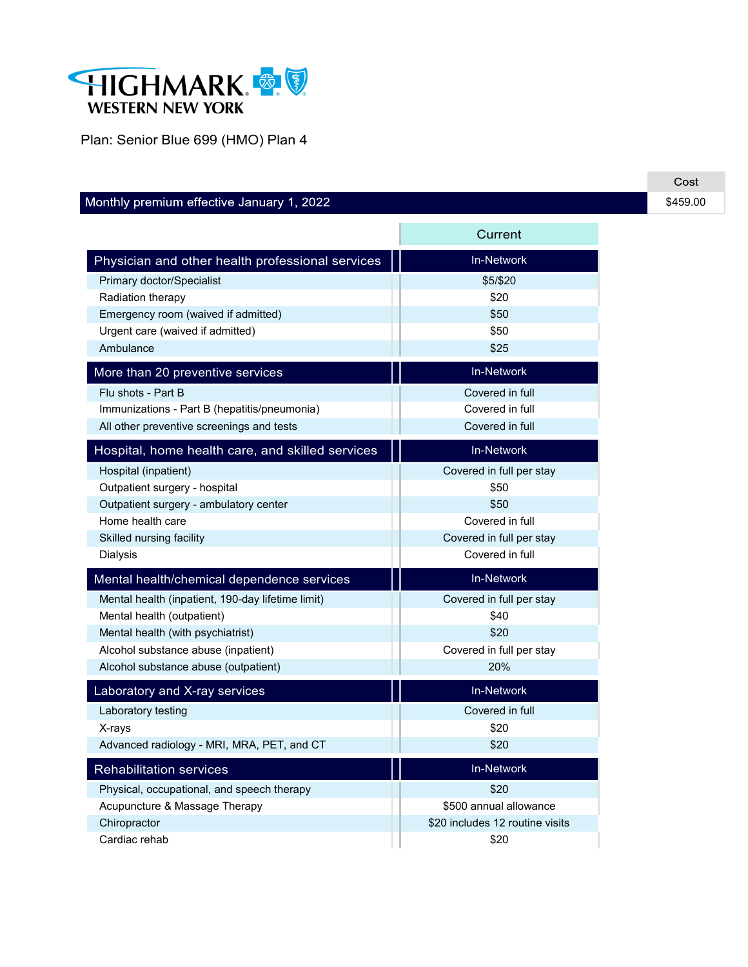

Plan: Senior Blue 699 (HMO) Plan 4

## Monthly premium effective January 1, 2022

|                                                   | Current                         |
|---------------------------------------------------|---------------------------------|
| Physician and other health professional services  | <b>In-Network</b>               |
| Primary doctor/Specialist                         | \$5/\$20                        |
| Radiation therapy                                 | \$20                            |
| Emergency room (waived if admitted)               | \$50                            |
| Urgent care (waived if admitted)                  | \$50                            |
| Ambulance                                         | \$25                            |
| More than 20 preventive services                  | <b>In-Network</b>               |
| Flu shots - Part B                                | Covered in full                 |
| Immunizations - Part B (hepatitis/pneumonia)      | Covered in full                 |
| All other preventive screenings and tests         | Covered in full                 |
| Hospital, home health care, and skilled services  | <b>In-Network</b>               |
| Hospital (inpatient)                              | Covered in full per stay        |
| Outpatient surgery - hospital                     | \$50                            |
| Outpatient surgery - ambulatory center            | \$50                            |
| Home health care                                  | Covered in full                 |
| Skilled nursing facility                          | Covered in full per stay        |
| Dialysis                                          | Covered in full                 |
| Mental health/chemical dependence services        | <b>In-Network</b>               |
| Mental health (inpatient, 190-day lifetime limit) | Covered in full per stay        |
| Mental health (outpatient)                        | \$40                            |
| Mental health (with psychiatrist)                 | \$20                            |
| Alcohol substance abuse (inpatient)               | Covered in full per stay        |
| Alcohol substance abuse (outpatient)              | 20%                             |
| Laboratory and X-ray services                     | <b>In-Network</b>               |
| Laboratory testing                                | Covered in full                 |
| X-rays                                            | \$20                            |
| Advanced radiology - MRI, MRA, PET, and CT        | \$20                            |
| <b>Rehabilitation services</b>                    | <b>In-Network</b>               |
| Physical, occupational, and speech therapy        | \$20                            |
| Acupuncture & Massage Therapy                     | \$500 annual allowance          |
| Chiropractor                                      | \$20 includes 12 routine visits |
| Cardiac rehab                                     | \$20                            |

the control of the control of the control of the control of the control of